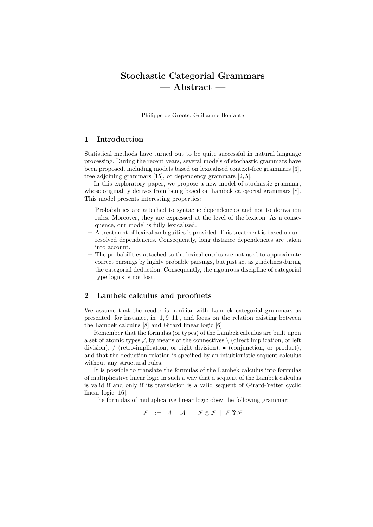# Stochastic Categorial Grammars — Abstract —

Philippe de Groote, Guillaume Bonfante

### 1 Introduction

Statistical methods have turned out to be quite successful in natural language processing. During the recent years, several models of stochastic grammars have been proposed, including models based on lexicalised context-free grammars [3], tree adjoining grammars [15], or dependency grammars [2, 5].

In this exploratory paper, we propose a new model of stochastic grammar, whose originality derives from being based on Lambek categorial grammars [8]. This model presents interesting properties:

- Probabilities are attached to syntactic dependencies and not to derivation rules. Moreover, they are expressed at the level of the lexicon. As a consequence, our model is fully lexicalised.
- A treatment of lexical ambiguities is provided. This treatment is based on unresolved dependencies. Consequently, long distance dependencies are taken into account.
- The probabilities attached to the lexical entries are not used to approximate correct parsings by highly probable parsings, but just act as guidelines during the categorial deduction. Consequently, the rigourous discipline of categorial type logics is not lost.

## 2 Lambek calculus and proofnets

We assume that the reader is familiar with Lambek categorial grammars as presented, for instance, in [1, 9–11], and focus on the relation existing between the Lambek calculus [8] and Girard linear logic [6].

Remember that the formulas (or types) of the Lambek calculus are built upon a set of atomic types  $\mathcal A$  by means of the connectives  $\setminus$  (direct implication, or left division), / (retro-implication, or right division), • (conjunction, or product), and that the deduction relation is specified by an intuitionistic sequent calculus without any structural rules.

It is possible to translate the formulas of the Lambek calculus into formulas of multiplicative linear logic in such a way that a sequent of the Lambek calculus is valid if and only if its translation is a valid sequent of Girard-Yetter cyclic linear logic [16].

The formulas of multiplicative linear logic obey the following grammar:

 $\mathcal{F}$  ::=  $\mathcal{A} \perp \mathcal{A}^{\perp} \perp \mathcal{F} \otimes \mathcal{F} \perp \mathcal{F} \otimes \mathcal{F}$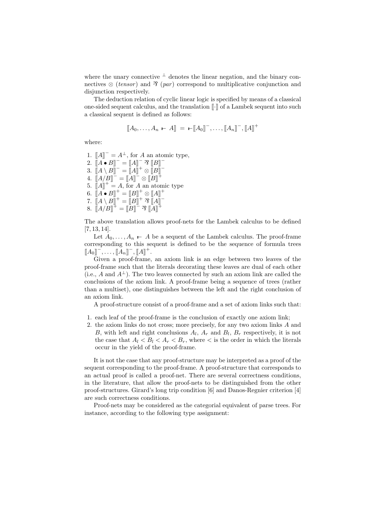where the unary connective  $\perp$  denotes the linear negation, and the binary connectives  $\otimes$  (tensor) and  $\hat{\gamma}$  (par) correspond to multiplicative conjunction and disjunction respectively.

The deduction relation of cyclic linear logic is specified by means of a classical one-sided sequent calculus, and the translation  $\lbrack \cdot \rbrack$  of a Lambek sequent into such a classical sequent is defined as follows:

$$
[[A_0, \ldots, A_n - A]] = -[[A_0]^-, \ldots, [[A_n]^-, [[A]]^+
$$

where:

1.  $[[A]]^- = A^{\perp}$ , for A an atomic type, 2.  $[[A \bullet B]]^- = [[A]]^- \mathfrak{B}[[B]]^-$ 3.  $[[A \setminus B]]^- = [[A]]^+ \otimes [[B]]^ 4. \ \ \mathbf{A} \mathbf{A} \mathbf{B} \mathbf{B}^{-} = \mathbf{A} \mathbf{A}^{-} \otimes \mathbf{B} \mathbf{B}^{-}$ 5.  $\[\mathbb{A}\]^{+} = A$ , for A an atomic type 6.  $[[A \bullet B]]^+ = [[B]]^+ \otimes [[A]]^+$ 7.  $\overline{[\hspace{-.10em}][}A \setminus B\overline{]\hspace{-.10em}]}^+ = \overline{[\hspace{-.10em}][}B\overline{]\hspace{-.10em}]}^+ \mathfrak{B} \overline{[\hspace{-.10em}][}A\overline{]\hspace{-.10em}]}^-$ 8.  $[[A/B]]^+ = [[B]]^- \mathfrak{B}[[A]]^+$ 

The above translation allows proof-nets for the Lambek calculus to be defined [7, 13, 14].

Let  $A_0, \ldots, A_n$  – A be a sequent of the Lambek calculus. The proof-frame corresponding to this sequent is defined to be the sequence of formula trees  $[[A_0]]^-, \ldots, [[A_n]]^-, [[A]]^+.$ 

Given a proof-frame, an axiom link is an edge between two leaves of the proof-frame such that the literals decorating these leaves are dual of each other (i.e., A and  $A^{\perp}$ ). The two leaves connected by such an axiom link are called the conclusions of the axiom link. A proof-frame being a sequence of trees (rather than a multiset), one distinguishes between the left and the right conclusion of an axiom link.

A proof-structure consist of a proof-frame and a set of axiom links such that:

- 1. each leaf of the proof-frame is the conclusion of exactly one axiom link;
- 2. the axiom links do not cross; more precisely, for any two axiom links A and B, with left and right conclusions  $A_l$ ,  $A_r$  and  $B_l$ ,  $B_r$  respectively, it is not the case that  $A_l < B_l < A_r < B_r$ , where  $\lt$  is the order in which the literals occur in the yield of the proof-frame.

It is not the case that any proof-structure may be interpreted as a proof of the sequent corresponding to the proof-frame. A proof-structure that corresponds to an actual proof is called a proof-net. There are several correctness conditions, in the literature, that allow the proof-nets to be distinguished from the other proof-structures. Girard's long trip condition [6] and Danos-Regnier criterion [4] are such correctness conditions.

Proof-nets may be considered as the categorial equivalent of parse trees. For instance, according to the following type assignment: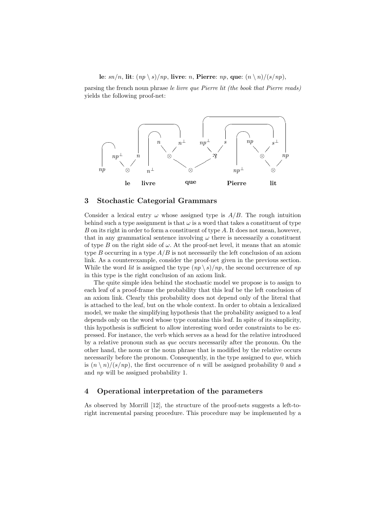#### le:  $sn/n$ , lit:  $(np \setminus s)/np$ , livre: n, Pierre: np, que:  $(n \setminus n)/(s/np)$ ,

parsing the french noun phrase le livre que Pierre lit (the book that Pierre reads) yields the following proof-net:



#### 3 Stochastic Categorial Grammars

Consider a lexical entry  $\omega$  whose assigned type is  $A/B$ . The rough intuition behind such a type assignment is that  $\omega$  is a word that takes a constituent of type  $B$  on its right in order to form a constituent of type  $A$ . It does not mean, however, that in any grammatical sentence involving  $\omega$  there is necessarily a constituent of type B on the right side of  $\omega$ . At the proof-net level, it means that an atomic type B occurring in a type  $A/B$  is not necessarily the left conclusion of an axiom link. As a counterexample, consider the proof-net given in the previous section. While the word *lit* is assigned the type  $(np \setminus s)/np$ , the second occurrence of np in this type is the right conclusion of an axiom link.

The quite simple idea behind the stochastic model we propose is to assign to each leaf of a proof-frame the probability that this leaf be the left conclusion of an axiom link. Clearly this probability does not depend only of the literal that is attached to the leaf, but on the whole context. In order to obtain a lexicalized model, we make the simplifying hypothesis that the probability assigned to a leaf depends only on the word whose type contains this leaf. In spite of its simplicity, this hypothesis is sufficient to allow interesting word order constraints to be expressed. For instance, the verb which serves as a head for the relative introduced by a relative pronoun such as que occurs necessarily after the pronoun. On the other hand, the noun or the noun phrase that is modified by the relative occurs necessarily before the pronoun. Consequently, in the type assigned to que, which is  $(n \n\langle n \rangle / (s / np)$ , the first occurrence of n will be assigned probability 0 and s and np will be assigned probability 1.

#### 4 Operational interpretation of the parameters

As observed by Morrill [12], the structure of the proof-nets suggests a left-toright incremental parsing procedure. This procedure may be implemented by a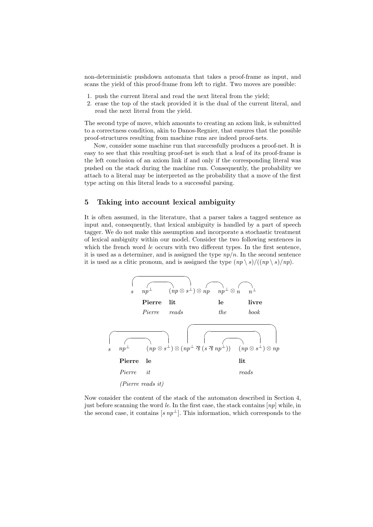non-deterministic pushdown automata that takes a proof-frame as input, and scans the yield of this proof-frame from left to right. Two moves are possible:

- 1. push the current literal and read the next literal from the yield;
- 2. erase the top of the stack provided it is the dual of the current literal, and read the next literal from the yield.

The second type of move, which amounts to creating an axiom link, is submitted to a correctness condition, akin to Danos-Regnier, that ensures that the possible proof-structures resulting from machine runs are indeed proof-nets.

Now, consider some machine run that successfully produces a proof-net. It is easy to see that this resulting proof-net is such that a leaf of its proof-frame is the left conclusion of an axiom link if and only if the corresponding literal was pushed on the stack during the machine run. Consequently, the probability we attach to a literal may be interpreted as the probability that a move of the first type acting on this literal leads to a successful parsing.

# 5 Taking into account lexical ambiguity

It is often assumed, in the literature, that a parser takes a tagged sentence as input and, consequently, that lexical ambiguity is handled by a part of speech tagger. We do not make this assumption and incorporate a stochastic treatment of lexical ambiguity within our model. Consider the two following sentences in which the french word *le* occurs with two different types. In the first sentence, it is used as a determiner, and is assigned the type  $np/n$ . In the second sentence it is used as a clitic pronoun, and is assigned the type  $(np \setminus s)/((np \setminus s)/np)$ .



Now consider the content of the stack of the automaton described in Section 4, just before scanning the word le. In the first case, the stack contains  $[np]$  while, in the second case, it contains  $[s np^{\perp}]$ . This information, which corresponds to the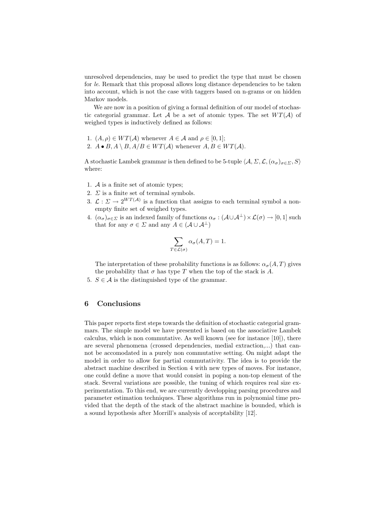unresolved dependencies, may be used to predict the type that must be chosen for le. Remark that this proposal allows long distance dependencies to be taken into account, which is not the case with taggers based on n-grams or on hidden Markov models.

We are now in a position of giving a formal definition of our model of stochastic categorial grammar. Let A be a set of atomic types. The set  $WT(\mathcal{A})$  of weighed types is inductively defined as follows:

- 1.  $(A, \rho) \in WT(\mathcal{A})$  whenever  $A \in \mathcal{A}$  and  $\rho \in [0, 1];$
- 2.  $A \bullet B, A \setminus B, A/B \in WT(A)$  whenever  $A, B \in WT(A)$ .

A stochastic Lambek grammar is then defined to be 5-tuple  $\langle A, \Sigma, \mathcal{L}, (\alpha_{\sigma})_{\sigma \in \Sigma}, S \rangle$ where:

- 1. A is a finite set of atomic types;
- 2.  $\Sigma$  is a finite set of terminal symbols.
- 3.  $\mathcal{L}: \Sigma \to 2^{WT(\mathcal{A})}$  is a function that assigns to each terminal symbol a nonempty finite set of weighed types.
- 4.  $(\alpha_{\sigma})_{\sigma \in \Sigma}$  is an indexed family of functions  $\alpha_{\sigma} : (\mathcal{A} \cup \mathcal{A}^{\perp}) \times \mathcal{L}(\sigma) \to [0, 1]$  such that for any  $\sigma \in \Sigma$  and any  $A \in (\mathcal{A} \cup \mathcal{A}^{\perp})$

$$
\sum_{T \in \mathcal{L}(\sigma)} \alpha_{\sigma}(A, T) = 1.
$$

The interpretation of these probability functions is as follows:  $\alpha_{\sigma}(A, T)$  gives the probability that  $\sigma$  has type T when the top of the stack is A.

5.  $S \in \mathcal{A}$  is the distinguished type of the grammar.

## 6 Conclusions

This paper reports first steps towards the definition of stochastic categorial grammars. The simple model we have presented is based on the associative Lambek calculus, which is non commutative. As well known (see for instance [10]), there are several phenomena (crossed dependencies, medial extraction,...) that cannot be accomodated in a purely non commutative setting. On might adapt the model in order to allow for partial commutativity. The idea is to provide the abstract machine described in Section 4 with new types of moves. For instance, one could define a move that would consist in poping a non-top element of the stack. Several variations are possible, the tuning of which requires real size experimentation. To this end, we are currently developping parsing procedures and parameter estimation techniques. These algorithms run in polynomial time provided that the depth of the stack of the abstract machine is bounded, which is a sound hypothesis after Morrill's analysis of acceptability [12].